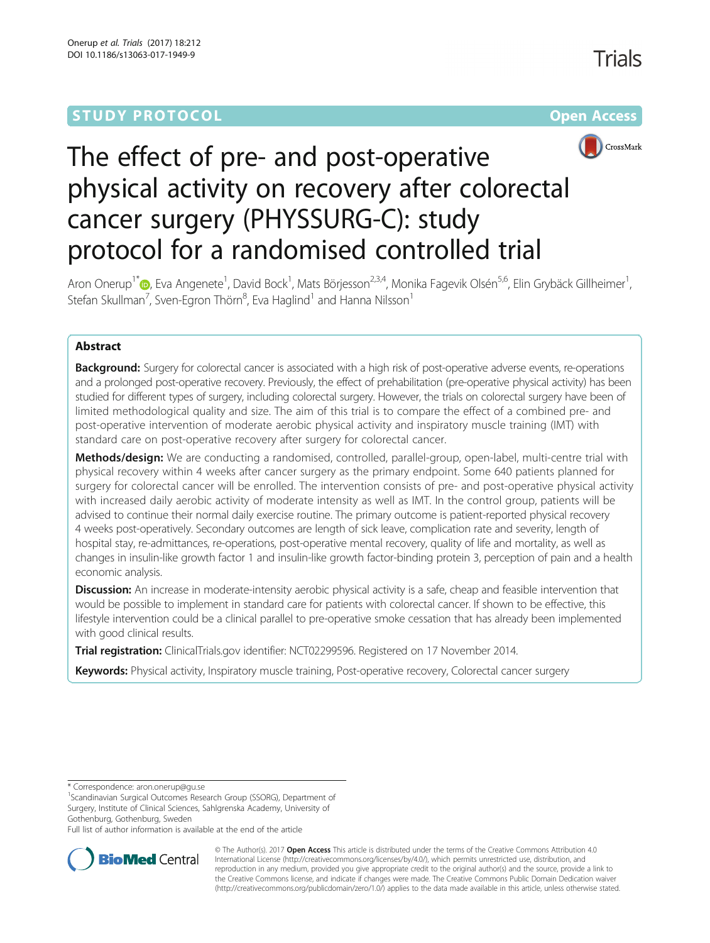## **STUDY PROTOCOL CONSUMING THE RESERVE ACCESS**

Trials



# The effect of pre- and post-operative physical activity on recovery after colorectal cancer surgery (PHYSSURG-C): study protocol for a randomised controlled trial

Aron Onerup<sup>1[\\*](http://orcid.org/0000-0002-1946-3529)</sup>®, Eva Angenete<sup>1</sup>, David Bock<sup>1</sup>, Mats Börjesson<sup>2,3,4</sup>, Monika Fagevik Olsén<sup>5,6</sup>, Elin Grybäck Gillheimer<sup>1</sup> , Stefan Skullman<sup>7</sup>, Sven-Egron Thörn $^8$ , Eva Haglind $^1$  and Hanna Nilsson $^1$ 

## Abstract

**Background:** Surgery for colorectal cancer is associated with a high risk of post-operative adverse events, re-operations and a prolonged post-operative recovery. Previously, the effect of prehabilitation (pre-operative physical activity) has been studied for different types of surgery, including colorectal surgery. However, the trials on colorectal surgery have been of limited methodological quality and size. The aim of this trial is to compare the effect of a combined pre- and post-operative intervention of moderate aerobic physical activity and inspiratory muscle training (IMT) with standard care on post-operative recovery after surgery for colorectal cancer.

Methods/design: We are conducting a randomised, controlled, parallel-group, open-label, multi-centre trial with physical recovery within 4 weeks after cancer surgery as the primary endpoint. Some 640 patients planned for surgery for colorectal cancer will be enrolled. The intervention consists of pre- and post-operative physical activity with increased daily aerobic activity of moderate intensity as well as IMT. In the control group, patients will be advised to continue their normal daily exercise routine. The primary outcome is patient-reported physical recovery 4 weeks post-operatively. Secondary outcomes are length of sick leave, complication rate and severity, length of hospital stay, re-admittances, re-operations, post-operative mental recovery, quality of life and mortality, as well as changes in insulin-like growth factor 1 and insulin-like growth factor-binding protein 3, perception of pain and a health economic analysis.

Discussion: An increase in moderate-intensity aerobic physical activity is a safe, cheap and feasible intervention that would be possible to implement in standard care for patients with colorectal cancer. If shown to be effective, this lifestyle intervention could be a clinical parallel to pre-operative smoke cessation that has already been implemented with good clinical results.

Trial registration: ClinicalTrials.gov identifier: [NCT02299596.](https://clinicaltrials.gov/ct2/show/NCT02299596) Registered on 17 November 2014.

Keywords: Physical activity, Inspiratory muscle training, Post-operative recovery, Colorectal cancer surgery

\* Correspondence: [aron.onerup@gu.se](mailto:aron.onerup@gu.se) <sup>1</sup>

<sup>1</sup>Scandinavian Surgical Outcomes Research Group (SSORG), Department of Surgery, Institute of Clinical Sciences, Sahlgrenska Academy, University of Gothenburg, Gothenburg, Sweden

Full list of author information is available at the end of the article



© The Author(s). 2017 **Open Access** This article is distributed under the terms of the Creative Commons Attribution 4.0 International License [\(http://creativecommons.org/licenses/by/4.0/](http://creativecommons.org/licenses/by/4.0/)), which permits unrestricted use, distribution, and reproduction in any medium, provided you give appropriate credit to the original author(s) and the source, provide a link to the Creative Commons license, and indicate if changes were made. The Creative Commons Public Domain Dedication waiver [\(http://creativecommons.org/publicdomain/zero/1.0/](http://creativecommons.org/publicdomain/zero/1.0/)) applies to the data made available in this article, unless otherwise stated.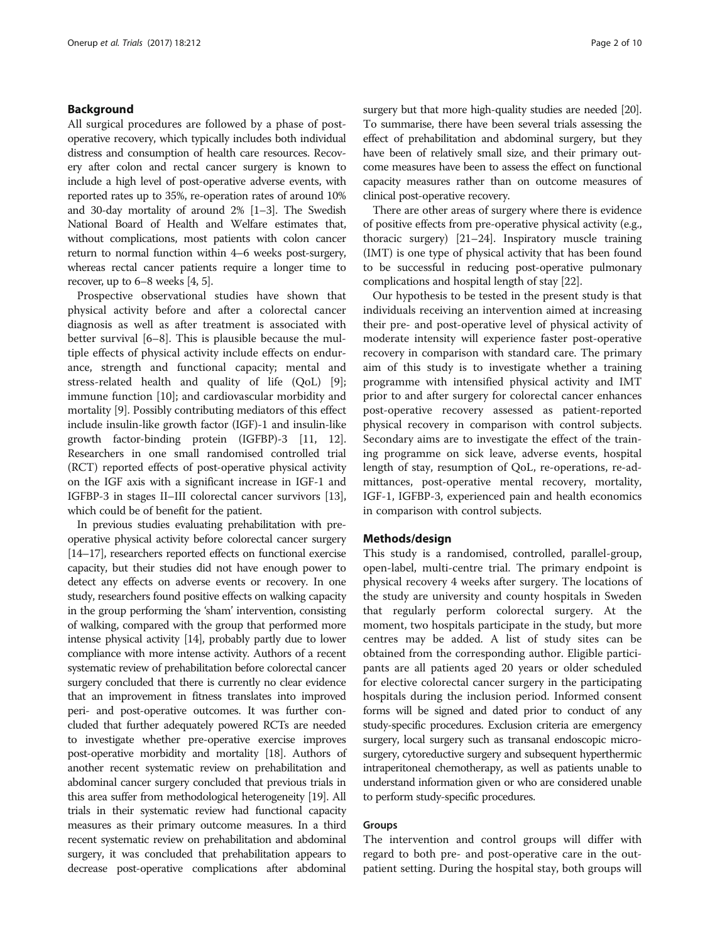## Background

All surgical procedures are followed by a phase of postoperative recovery, which typically includes both individual distress and consumption of health care resources. Recovery after colon and rectal cancer surgery is known to include a high level of post-operative adverse events, with reported rates up to 35%, re-operation rates of around 10% and 30-day mortality of around 2% [\[1](#page-7-0)–[3](#page-7-0)]. The Swedish National Board of Health and Welfare estimates that, without complications, most patients with colon cancer return to normal function within 4–6 weeks post-surgery, whereas rectal cancer patients require a longer time to recover, up to  $6-8$  weeks [[4, 5\]](#page-8-0).

Prospective observational studies have shown that physical activity before and after a colorectal cancer diagnosis as well as after treatment is associated with better survival [[6](#page-8-0)–[8](#page-8-0)]. This is plausible because the multiple effects of physical activity include effects on endurance, strength and functional capacity; mental and stress-related health and quality of life (QoL) [\[9](#page-8-0)]; immune function [\[10](#page-8-0)]; and cardiovascular morbidity and mortality [[9\]](#page-8-0). Possibly contributing mediators of this effect include insulin-like growth factor (IGF)-1 and insulin-like growth factor-binding protein (IGFBP)-3 [\[11, 12](#page-8-0)]. Researchers in one small randomised controlled trial (RCT) reported effects of post-operative physical activity on the IGF axis with a significant increase in IGF-1 and IGFBP-3 in stages II–III colorectal cancer survivors [[13](#page-8-0)], which could be of benefit for the patient.

In previous studies evaluating prehabilitation with preoperative physical activity before colorectal cancer surgery [[14](#page-8-0)–[17](#page-8-0)], researchers reported effects on functional exercise capacity, but their studies did not have enough power to detect any effects on adverse events or recovery. In one study, researchers found positive effects on walking capacity in the group performing the 'sham' intervention, consisting of walking, compared with the group that performed more intense physical activity [\[14\]](#page-8-0), probably partly due to lower compliance with more intense activity. Authors of a recent systematic review of prehabilitation before colorectal cancer surgery concluded that there is currently no clear evidence that an improvement in fitness translates into improved peri- and post-operative outcomes. It was further concluded that further adequately powered RCTs are needed to investigate whether pre-operative exercise improves post-operative morbidity and mortality [\[18\]](#page-8-0). Authors of another recent systematic review on prehabilitation and abdominal cancer surgery concluded that previous trials in this area suffer from methodological heterogeneity [\[19\]](#page-8-0). All trials in their systematic review had functional capacity measures as their primary outcome measures. In a third recent systematic review on prehabilitation and abdominal surgery, it was concluded that prehabilitation appears to decrease post-operative complications after abdominal

surgery but that more high-quality studies are needed [\[20](#page-8-0)]. To summarise, there have been several trials assessing the effect of prehabilitation and abdominal surgery, but they have been of relatively small size, and their primary outcome measures have been to assess the effect on functional capacity measures rather than on outcome measures of clinical post-operative recovery.

There are other areas of surgery where there is evidence of positive effects from pre-operative physical activity (e.g., thoracic surgery) [[21](#page-8-0)–[24\]](#page-8-0). Inspiratory muscle training (IMT) is one type of physical activity that has been found to be successful in reducing post-operative pulmonary complications and hospital length of stay [[22](#page-8-0)].

Our hypothesis to be tested in the present study is that individuals receiving an intervention aimed at increasing their pre- and post-operative level of physical activity of moderate intensity will experience faster post-operative recovery in comparison with standard care. The primary aim of this study is to investigate whether a training programme with intensified physical activity and IMT prior to and after surgery for colorectal cancer enhances post-operative recovery assessed as patient-reported physical recovery in comparison with control subjects. Secondary aims are to investigate the effect of the training programme on sick leave, adverse events, hospital length of stay, resumption of QoL, re-operations, re-admittances, post-operative mental recovery, mortality, IGF-1, IGFBP-3, experienced pain and health economics in comparison with control subjects.

#### Methods/design

This study is a randomised, controlled, parallel-group, open-label, multi-centre trial. The primary endpoint is physical recovery 4 weeks after surgery. The locations of the study are university and county hospitals in Sweden that regularly perform colorectal surgery. At the moment, two hospitals participate in the study, but more centres may be added. A list of study sites can be obtained from the corresponding author. Eligible participants are all patients aged 20 years or older scheduled for elective colorectal cancer surgery in the participating hospitals during the inclusion period. Informed consent forms will be signed and dated prior to conduct of any study-specific procedures. Exclusion criteria are emergency surgery, local surgery such as transanal endoscopic microsurgery, cytoreductive surgery and subsequent hyperthermic intraperitoneal chemotherapy, as well as patients unable to understand information given or who are considered unable to perform study-specific procedures.

#### Groups

The intervention and control groups will differ with regard to both pre- and post-operative care in the outpatient setting. During the hospital stay, both groups will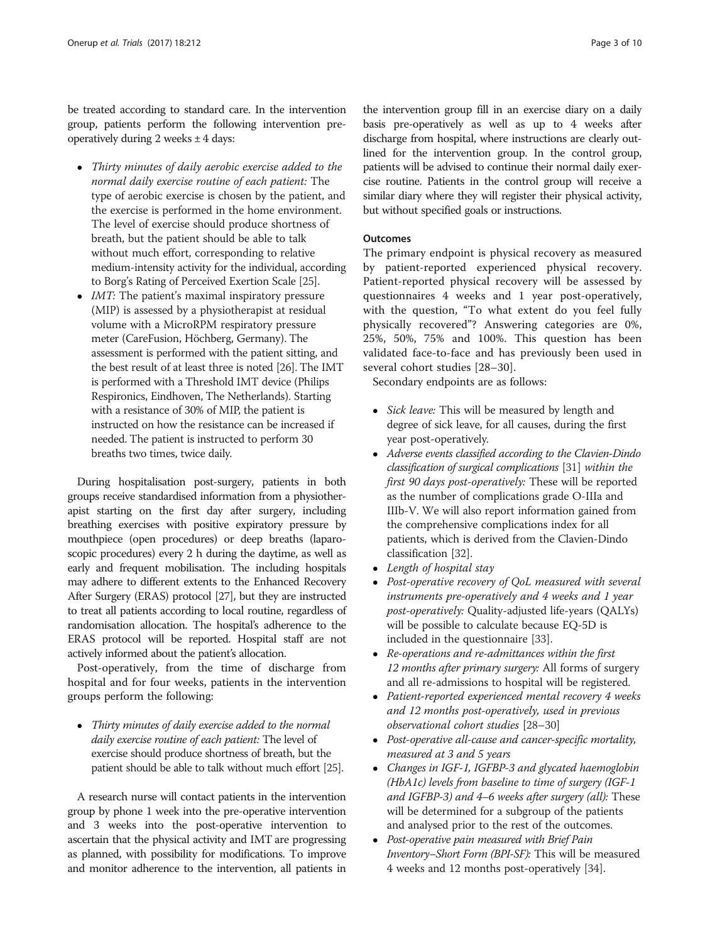be treated according to standard care. In the intervention group, patients perform the following intervention preoperatively during 2 weeks  $\pm$  4 days:

- Thirty minutes of daily aerobic exercise added to the normal daily exercise routine of each patient: The type of aerobic exercise is chosen by the patient, and the exercise is performed in the home environment. The level of exercise should produce shortness of breath, but the patient should be able to talk without much effort, corresponding to relative medium-intensity activity for the individual, according to Borg's Rating of Perceived Exertion Scale [[25](#page-8-0)].
- $\bullet$  *IMT*: The patient's maximal inspiratory pressure (MIP) is assessed by a physiotherapist at residual volume with a MicroRPM respiratory pressure meter (CareFusion, Höchberg, Germany). The assessment is performed with the patient sitting, and the best result of at least three is noted [[26](#page-8-0)]. The IMT is performed with a Threshold IMT device (Philips Respironics, Eindhoven, The Netherlands). Starting with a resistance of 30% of MIP, the patient is instructed on how the resistance can be increased if needed. The patient is instructed to perform 30 breaths two times, twice daily.

During hospitalisation post-surgery, patients in both groups receive standardised information from a physiotherapist starting on the first day after surgery, including breathing exercises with positive expiratory pressure by mouthpiece (open procedures) or deep breaths (laparoscopic procedures) every 2 h during the daytime, as well as early and frequent mobilisation. The including hospitals may adhere to different extents to the Enhanced Recovery After Surgery (ERAS) protocol [\[27\]](#page-8-0), but they are instructed to treat all patients according to local routine, regardless of randomisation allocation. The hospital's adherence to the ERAS protocol will be reported. Hospital staff are not actively informed about the patient's allocation.

Post-operatively, from the time of discharge from hospital and for four weeks, patients in the intervention groups perform the following:

• Thirty minutes of daily exercise added to the normal daily exercise routine of each patient: The level of exercise should produce shortness of breath, but the patient should be able to talk without much effort [\[25](#page-8-0)].

A research nurse will contact patients in the intervention group by phone 1 week into the pre-operative intervention and 3 weeks into the post-operative intervention to ascertain that the physical activity and IMT are progressing as planned, with possibility for modifications. To improve and monitor adherence to the intervention, all patients in

the intervention group fill in an exercise diary on a daily basis pre-operatively as well as up to 4 weeks after discharge from hospital, where instructions are clearly outlined for the intervention group. In the control group, patients will be advised to continue their normal daily exercise routine. Patients in the control group will receive a similar diary where they will register their physical activity, but without specified goals or instructions.

## **Outcomes**

The primary endpoint is physical recovery as measured by patient-reported experienced physical recovery. Patient-reported physical recovery will be assessed by questionnaires 4 weeks and 1 year post-operatively, with the question, "To what extent do you feel fully physically recovered"? Answering categories are 0%, 25%, 50%, 75% and 100%. This question has been validated face-to-face and has previously been used in several cohort studies [[28](#page-8-0)–[30\]](#page-8-0).

Secondary endpoints are as follows:

- Sick leave: This will be measured by length and degree of sick leave, for all causes, during the first year post-operatively.
- Adverse events classified according to the Clavien-Dindo classification of surgical complications [[31](#page-8-0)] within the first 90 days post-operatively: These will be reported as the number of complications grade O-IIIa and IIIb-V. We will also report information gained from the comprehensive complications index for all patients, which is derived from the Clavien-Dindo classification [[32](#page-8-0)].
- Length of hospital stay
- Post-operative recovery of QoL measured with several instruments pre-operatively and 4 weeks and 1 year post-operatively: Quality-adjusted life-years (QALYs) will be possible to calculate because EQ-5D is included in the questionnaire [[33](#page-8-0)].
- Re-operations and re-admittances within the first 12 months after primary surgery: All forms of surgery and all re-admissions to hospital will be registered.
- Patient-reported experienced mental recovery 4 weeks and 12 months post-operatively, used in previous observational cohort studies [[28](#page-8-0)–[30\]](#page-8-0)
- Post-operative all-cause and cancer-specific mortality, measured at 3 and 5 years
- Changes in IGF-1, IGFBP-3 and glycated haemoglobin (HbA1c) levels from baseline to time of surgery (IGF-1 and IGFBP-3) and 4–6 weeks after surgery (all): These will be determined for a subgroup of the patients and analysed prior to the rest of the outcomes.
- Post-operative pain measured with Brief Pain Inventory–Short Form (BPI-SF): This will be measured 4 weeks and 12 months post-operatively [\[34\]](#page-8-0).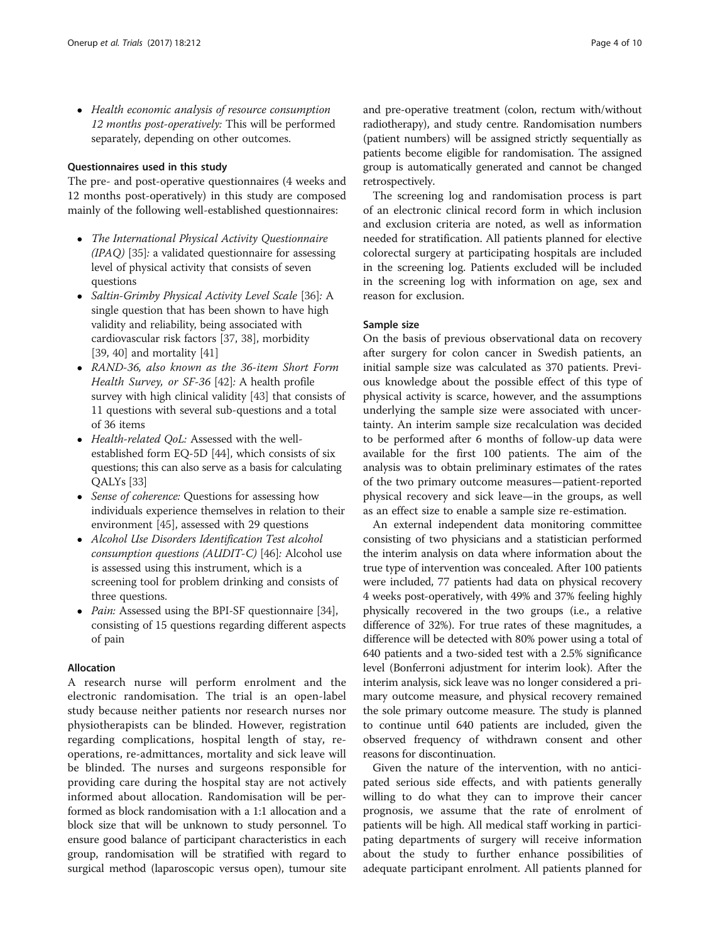• Health economic analysis of resource consumption 12 months post-operatively: This will be performed separately, depending on other outcomes.

## Questionnaires used in this study

The pre- and post-operative questionnaires (4 weeks and 12 months post-operatively) in this study are composed mainly of the following well-established questionnaires:

- The International Physical Activity Questionnaire  $(IPAQ)$  [[35](#page-8-0)]: a validated questionnaire for assessing level of physical activity that consists of seven questions
- Saltin-Grimby Physical Activity Level Scale [[36](#page-8-0)]: A single question that has been shown to have high validity and reliability, being associated with cardiovascular risk factors [[37](#page-8-0), [38\]](#page-8-0), morbidity [[39](#page-8-0), [40](#page-8-0)] and mortality [[41](#page-8-0)]
- RAND-36, also known as the 36-item Short Form Health Survey, or SF-36 [[42](#page-8-0)]: A health profile survey with high clinical validity [[43](#page-8-0)] that consists of 11 questions with several sub-questions and a total of 36 items
- Health-related OoL: Assessed with the wellestablished form EQ-5D [\[44](#page-8-0)], which consists of six questions; this can also serve as a basis for calculating QALYs [\[33](#page-8-0)]
- Sense of coherence: Questions for assessing how individuals experience themselves in relation to their environment [\[45\]](#page-8-0), assessed with 29 questions
- Alcohol Use Disorders Identification Test alcohol consumption questions (AUDIT-C) [\[46](#page-9-0)]: Alcohol use is assessed using this instrument, which is a screening tool for problem drinking and consists of three questions.
- *Pain:* Assessed using the BPI-SF questionnaire [[34](#page-8-0)], consisting of 15 questions regarding different aspects of pain

## Allocation

A research nurse will perform enrolment and the electronic randomisation. The trial is an open-label study because neither patients nor research nurses nor physiotherapists can be blinded. However, registration regarding complications, hospital length of stay, reoperations, re-admittances, mortality and sick leave will be blinded. The nurses and surgeons responsible for providing care during the hospital stay are not actively informed about allocation. Randomisation will be performed as block randomisation with a 1:1 allocation and a block size that will be unknown to study personnel. To ensure good balance of participant characteristics in each group, randomisation will be stratified with regard to surgical method (laparoscopic versus open), tumour site and pre-operative treatment (colon, rectum with/without radiotherapy), and study centre. Randomisation numbers (patient numbers) will be assigned strictly sequentially as patients become eligible for randomisation. The assigned group is automatically generated and cannot be changed retrospectively.

The screening log and randomisation process is part of an electronic clinical record form in which inclusion and exclusion criteria are noted, as well as information needed for stratification. All patients planned for elective colorectal surgery at participating hospitals are included in the screening log. Patients excluded will be included in the screening log with information on age, sex and reason for exclusion.

## Sample size

On the basis of previous observational data on recovery after surgery for colon cancer in Swedish patients, an initial sample size was calculated as 370 patients. Previous knowledge about the possible effect of this type of physical activity is scarce, however, and the assumptions underlying the sample size were associated with uncertainty. An interim sample size recalculation was decided to be performed after 6 months of follow-up data were available for the first 100 patients. The aim of the analysis was to obtain preliminary estimates of the rates of the two primary outcome measures—patient-reported physical recovery and sick leave—in the groups, as well as an effect size to enable a sample size re-estimation.

An external independent data monitoring committee consisting of two physicians and a statistician performed the interim analysis on data where information about the true type of intervention was concealed. After 100 patients were included, 77 patients had data on physical recovery 4 weeks post-operatively, with 49% and 37% feeling highly physically recovered in the two groups (i.e., a relative difference of 32%). For true rates of these magnitudes, a difference will be detected with 80% power using a total of 640 patients and a two-sided test with a 2.5% significance level (Bonferroni adjustment for interim look). After the interim analysis, sick leave was no longer considered a primary outcome measure, and physical recovery remained the sole primary outcome measure. The study is planned to continue until 640 patients are included, given the observed frequency of withdrawn consent and other reasons for discontinuation.

Given the nature of the intervention, with no anticipated serious side effects, and with patients generally willing to do what they can to improve their cancer prognosis, we assume that the rate of enrolment of patients will be high. All medical staff working in participating departments of surgery will receive information about the study to further enhance possibilities of adequate participant enrolment. All patients planned for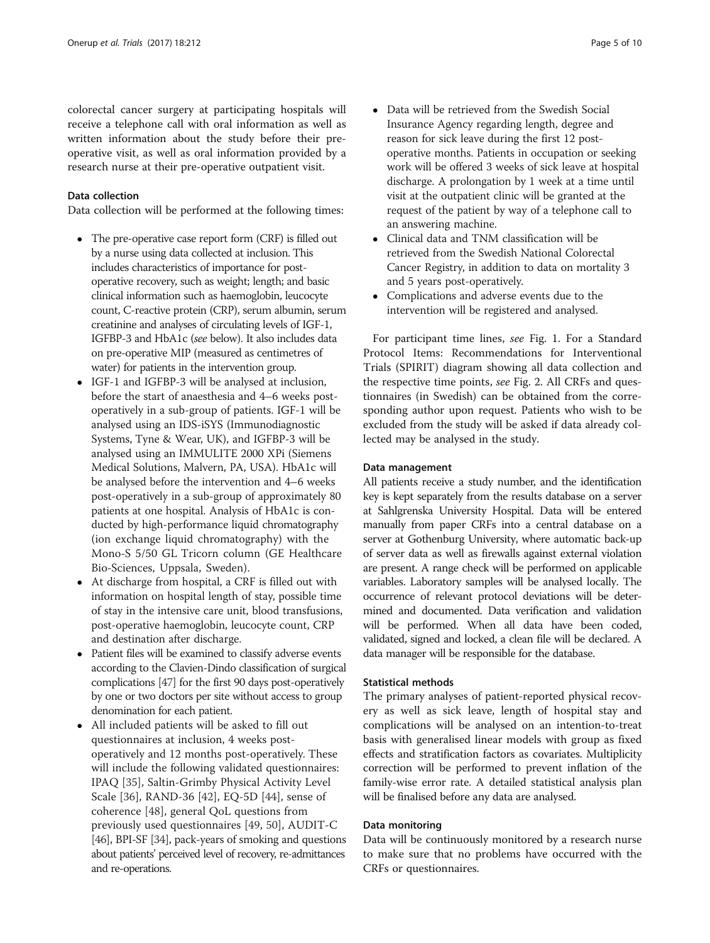colorectal cancer surgery at participating hospitals will receive a telephone call with oral information as well as written information about the study before their preoperative visit, as well as oral information provided by a research nurse at their pre-operative outpatient visit.

## Data collection

Data collection will be performed at the following times:

- The pre-operative case report form (CRF) is filled out by a nurse using data collected at inclusion. This includes characteristics of importance for postoperative recovery, such as weight; length; and basic clinical information such as haemoglobin, leucocyte count, C-reactive protein (CRP), serum albumin, serum creatinine and analyses of circulating levels of IGF-1, IGFBP-3 and HbA1c (see below). It also includes data on pre-operative MIP (measured as centimetres of water) for patients in the intervention group.
- IGF-1 and IGFBP-3 will be analysed at inclusion, before the start of anaesthesia and 4–6 weeks postoperatively in a sub-group of patients. IGF-1 will be analysed using an IDS-iSYS (Immunodiagnostic Systems, Tyne & Wear, UK), and IGFBP-3 will be analysed using an IMMULITE 2000 XPi (Siemens Medical Solutions, Malvern, PA, USA). HbA1c will be analysed before the intervention and 4–6 weeks post-operatively in a sub-group of approximately 80 patients at one hospital. Analysis of HbA1c is conducted by high-performance liquid chromatography (ion exchange liquid chromatography) with the Mono-S 5/50 GL Tricorn column (GE Healthcare Bio-Sciences, Uppsala, Sweden).
- At discharge from hospital, a CRF is filled out with information on hospital length of stay, possible time of stay in the intensive care unit, blood transfusions, post-operative haemoglobin, leucocyte count, CRP and destination after discharge.
- Patient files will be examined to classify adverse events according to the Clavien-Dindo classification of surgical complications [[47\]](#page-9-0) for the first 90 days post-operatively by one or two doctors per site without access to group denomination for each patient.
- All included patients will be asked to fill out questionnaires at inclusion, 4 weeks postoperatively and 12 months post-operatively. These will include the following validated questionnaires: IPAQ [[35](#page-8-0)], Saltin-Grimby Physical Activity Level Scale [[36](#page-8-0)], RAND-36 [\[42](#page-8-0)], EQ-5D [[44](#page-8-0)], sense of coherence [[48](#page-9-0)], general QoL questions from previously used questionnaires [\[49](#page-9-0), [50](#page-9-0)], AUDIT-C [[46](#page-9-0)], BPI-SF [\[34\]](#page-8-0), pack-years of smoking and questions about patients' perceived level of recovery, re-admittances and re-operations.
- Data will be retrieved from the Swedish Social Insurance Agency regarding length, degree and reason for sick leave during the first 12 postoperative months. Patients in occupation or seeking work will be offered 3 weeks of sick leave at hospital discharge. A prolongation by 1 week at a time until visit at the outpatient clinic will be granted at the request of the patient by way of a telephone call to an answering machine.
- Clinical data and TNM classification will be retrieved from the Swedish National Colorectal Cancer Registry, in addition to data on mortality 3 and 5 years post-operatively.
- Complications and adverse events due to the intervention will be registered and analysed.

For participant time lines, see Fig. [1](#page-5-0). For a Standard Protocol Items: Recommendations for Interventional Trials (SPIRIT) diagram showing all data collection and the respective time points, see Fig. [2](#page-5-0). All CRFs and questionnaires (in Swedish) can be obtained from the corresponding author upon request. Patients who wish to be excluded from the study will be asked if data already collected may be analysed in the study.

#### Data management

All patients receive a study number, and the identification key is kept separately from the results database on a server at Sahlgrenska University Hospital. Data will be entered manually from paper CRFs into a central database on a server at Gothenburg University, where automatic back-up of server data as well as firewalls against external violation are present. A range check will be performed on applicable variables. Laboratory samples will be analysed locally. The occurrence of relevant protocol deviations will be determined and documented. Data verification and validation will be performed. When all data have been coded, validated, signed and locked, a clean file will be declared. A data manager will be responsible for the database.

#### Statistical methods

The primary analyses of patient-reported physical recovery as well as sick leave, length of hospital stay and complications will be analysed on an intention-to-treat basis with generalised linear models with group as fixed effects and stratification factors as covariates. Multiplicity correction will be performed to prevent inflation of the family-wise error rate. A detailed statistical analysis plan will be finalised before any data are analysed.

#### Data monitoring

Data will be continuously monitored by a research nurse to make sure that no problems have occurred with the CRFs or questionnaires.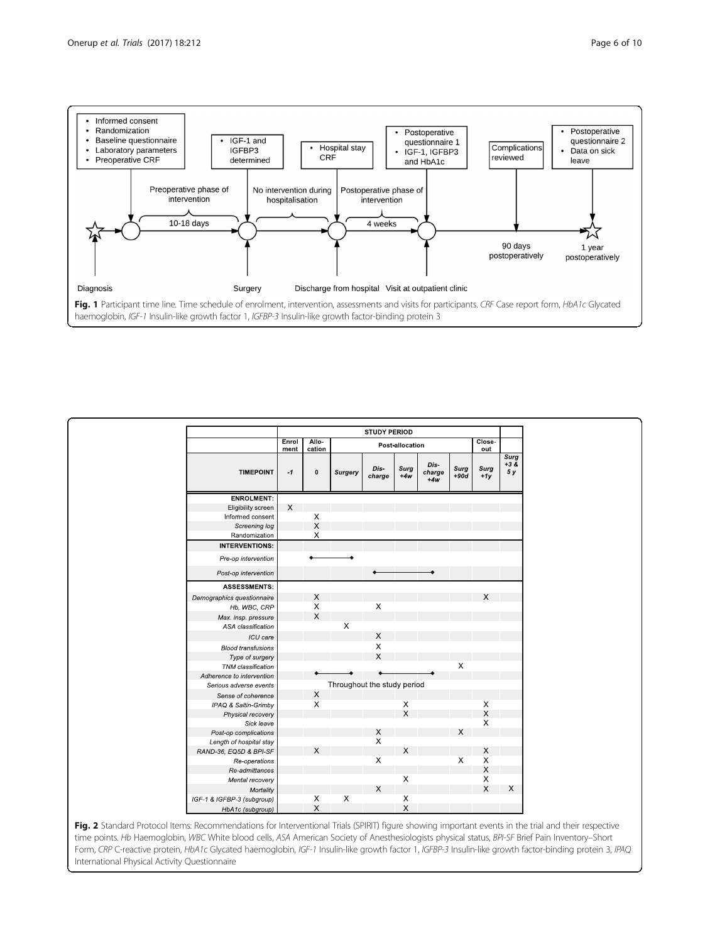

<span id="page-5-0"></span>

|                            | Enrol        | <b>STUDY PERIOD</b><br>Allo-<br>Post-allocation |                       |                           |               |                         |                | Close-                    |                                   |
|----------------------------|--------------|-------------------------------------------------|-----------------------|---------------------------|---------------|-------------------------|----------------|---------------------------|-----------------------------------|
| <b>TIMEPOINT</b>           | ment<br>$-1$ | cation<br>$\pmb{0}$                             | Surgery               | Dis-<br>charge            | Surg<br>$+4w$ | Dis-<br>charge<br>$+4w$ | Surg<br>$+90d$ | out<br>Surg<br>$+1y$      | Surg<br>$+3\,\overline{8}$<br>5 y |
| <b>ENROLMENT:</b>          |              |                                                 |                       |                           |               |                         |                |                           |                                   |
| Eligibility screen         | $\mathsf X$  |                                                 |                       |                           |               |                         |                |                           |                                   |
| Informed consent           |              | $\frac{x}{x}$                                   |                       |                           |               |                         |                |                           |                                   |
| Screening log              |              |                                                 |                       |                           |               |                         |                |                           |                                   |
| Randomization              |              | X                                               |                       |                           |               |                         |                |                           |                                   |
| <b>INTERVENTIONS:</b>      |              |                                                 |                       |                           |               |                         |                |                           |                                   |
| Pre-op intervention        |              |                                                 |                       |                           |               |                         |                |                           |                                   |
| Post-op intervention       |              |                                                 |                       |                           |               |                         |                |                           |                                   |
| <b>ASSESSMENTS:</b>        |              |                                                 |                       |                           |               |                         |                |                           |                                   |
| Demographics questionnaire |              | X                                               |                       |                           |               |                         |                | X                         |                                   |
| Hb, WBC, CRP               |              | $\boldsymbol{\mathsf{X}}$                       |                       | $\mathsf X$               |               |                         |                |                           |                                   |
| Max. insp. pressure        |              | X                                               |                       |                           |               |                         |                |                           |                                   |
| ASA classification         |              |                                                 | X                     |                           |               |                         |                |                           |                                   |
| ICU care                   |              |                                                 |                       | $\boldsymbol{\times}$     |               |                         |                |                           |                                   |
| <b>Blood transfusions</b>  |              |                                                 |                       | $\boldsymbol{\times}$     |               |                         |                |                           |                                   |
| Type of surgery            |              |                                                 |                       | X                         |               |                         |                |                           |                                   |
| TNM classification         |              |                                                 |                       |                           |               |                         | $\mathsf X$    |                           |                                   |
| Adherence to intervention  |              |                                                 |                       |                           |               |                         |                |                           |                                   |
| Serious adverse events     |              | Throughout the study period                     |                       |                           |               |                         |                |                           |                                   |
| Sense of coherence         |              | $\mathsf X$                                     |                       |                           |               |                         |                |                           |                                   |
| IPAQ & Saltin-Grimby       |              | $\boldsymbol{\mathsf{X}}$                       |                       |                           |               |                         |                |                           |                                   |
| Physical recovery          |              |                                                 |                       |                           | $\frac{x}{x}$ |                         |                | $_{\rm X}^{\rm X}$        |                                   |
| Sick leave                 |              |                                                 |                       |                           |               |                         |                | X                         |                                   |
| Post-op complications      |              |                                                 |                       | X                         |               |                         | X              |                           |                                   |
| Length of hospital stay    |              |                                                 |                       | $\boldsymbol{\mathsf{X}}$ |               |                         |                |                           |                                   |
| RAND-36, EQ5D & BPI-SF     |              | X                                               |                       |                           | $\mathsf X$   |                         |                | X                         |                                   |
| Re-operations              |              |                                                 |                       | $\mathsf{X}$              |               |                         | X              | $\boldsymbol{\mathsf{X}}$ |                                   |
| Re-admittances             |              |                                                 |                       |                           |               |                         |                | X                         |                                   |
| Mental recovery            |              |                                                 |                       |                           | $\mathsf X$   |                         |                | X                         |                                   |
| Mortality                  |              |                                                 |                       | $\times$                  |               |                         |                | $\times$                  | X                                 |
| IGF-1 & IGFBP-3 (subgroup) |              | $\times$                                        | $\boldsymbol{\times}$ |                           | $\mathsf X$   |                         |                |                           |                                   |
| HbA1c (subgroup)           |              | X                                               |                       |                           | $\mathsf X$   |                         |                |                           |                                   |

time points. Hb Haemoglobin, WBC White blood cells, ASA American Society of Anesthesiologists physical status, BPI-SF Brief Pain Inventory–Short Form, CRP C-reactive protein, HbA1c Glycated haemoglobin, IGF-1 Insulin-like growth factor 1, IGFBP-3 Insulin-like growth factor-binding protein 3, IPAQ International Physical Activity Questionnaire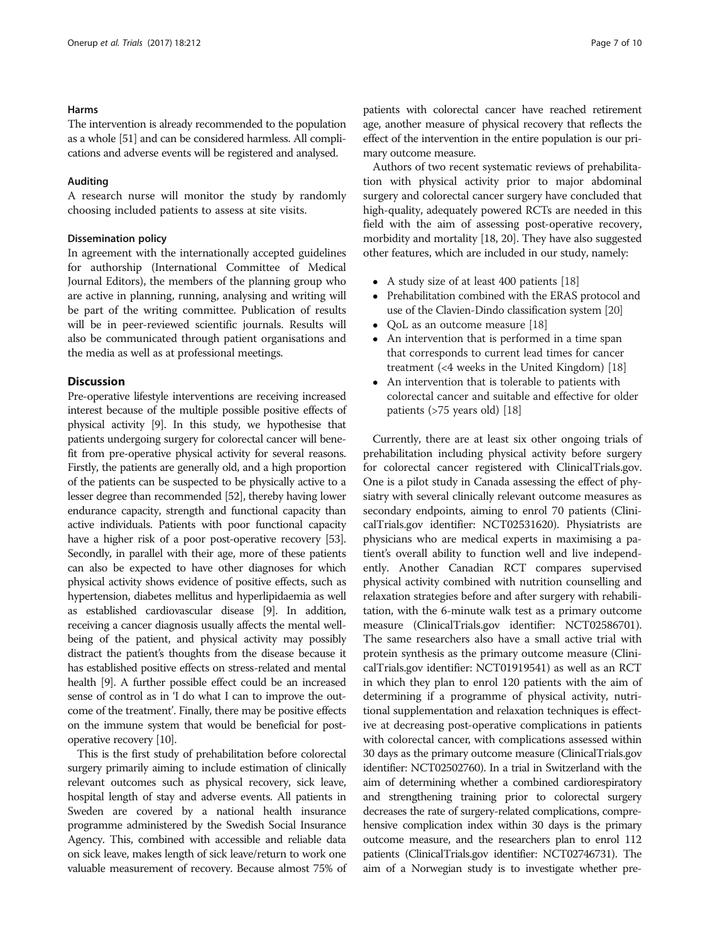#### Harms

The intervention is already recommended to the population as a whole [[51](#page-9-0)] and can be considered harmless. All complications and adverse events will be registered and analysed.

#### Auditing

A research nurse will monitor the study by randomly choosing included patients to assess at site visits.

## Dissemination policy

In agreement with the internationally accepted guidelines for authorship (International Committee of Medical Journal Editors), the members of the planning group who are active in planning, running, analysing and writing will be part of the writing committee. Publication of results will be in peer-reviewed scientific journals. Results will also be communicated through patient organisations and the media as well as at professional meetings.

#### **Discussion**

Pre-operative lifestyle interventions are receiving increased interest because of the multiple possible positive effects of physical activity [\[9](#page-8-0)]. In this study, we hypothesise that patients undergoing surgery for colorectal cancer will benefit from pre-operative physical activity for several reasons. Firstly, the patients are generally old, and a high proportion of the patients can be suspected to be physically active to a lesser degree than recommended [[52\]](#page-9-0), thereby having lower endurance capacity, strength and functional capacity than active individuals. Patients with poor functional capacity have a higher risk of a poor post-operative recovery [\[53](#page-9-0)]. Secondly, in parallel with their age, more of these patients can also be expected to have other diagnoses for which physical activity shows evidence of positive effects, such as hypertension, diabetes mellitus and hyperlipidaemia as well as established cardiovascular disease [\[9](#page-8-0)]. In addition, receiving a cancer diagnosis usually affects the mental wellbeing of the patient, and physical activity may possibly distract the patient's thoughts from the disease because it has established positive effects on stress-related and mental health [\[9](#page-8-0)]. A further possible effect could be an increased sense of control as in 'I do what I can to improve the outcome of the treatment'. Finally, there may be positive effects on the immune system that would be beneficial for postoperative recovery [\[10](#page-8-0)].

This is the first study of prehabilitation before colorectal surgery primarily aiming to include estimation of clinically relevant outcomes such as physical recovery, sick leave, hospital length of stay and adverse events. All patients in Sweden are covered by a national health insurance programme administered by the Swedish Social Insurance Agency. This, combined with accessible and reliable data on sick leave, makes length of sick leave/return to work one valuable measurement of recovery. Because almost 75% of patients with colorectal cancer have reached retirement age, another measure of physical recovery that reflects the effect of the intervention in the entire population is our primary outcome measure.

Authors of two recent systematic reviews of prehabilitation with physical activity prior to major abdominal surgery and colorectal cancer surgery have concluded that high-quality, adequately powered RCTs are needed in this field with the aim of assessing post-operative recovery, morbidity and mortality [\[18, 20](#page-8-0)]. They have also suggested other features, which are included in our study, namely:

- A study size of at least 400 patients [[18](#page-8-0)]<br>• Prehabilitation combined with the ERAS
- Prehabilitation combined with the ERAS protocol and use of the Clavien-Dindo classification system [\[20\]](#page-8-0)
- QoL as an outcome measure [[18](#page-8-0)]
- An intervention that is performed in a time span that corresponds to current lead times for cancer treatment (<4 weeks in the United Kingdom) [\[18\]](#page-8-0)
- An intervention that is tolerable to patients with colorectal cancer and suitable and effective for older patients (>75 years old) [\[18\]](#page-8-0)

Currently, there are at least six other ongoing trials of prehabilitation including physical activity before surgery for colorectal cancer registered with ClinicalTrials.gov. One is a pilot study in Canada assessing the effect of physiatry with several clinically relevant outcome measures as secondary endpoints, aiming to enrol 70 patients (ClinicalTrials.gov identifier: NCT02531620). Physiatrists are physicians who are medical experts in maximising a patient's overall ability to function well and live independently. Another Canadian RCT compares supervised physical activity combined with nutrition counselling and relaxation strategies before and after surgery with rehabilitation, with the 6-minute walk test as a primary outcome measure (ClinicalTrials.gov identifier: NCT02586701). The same researchers also have a small active trial with protein synthesis as the primary outcome measure (ClinicalTrials.gov identifier: NCT01919541) as well as an RCT in which they plan to enrol 120 patients with the aim of determining if a programme of physical activity, nutritional supplementation and relaxation techniques is effective at decreasing post-operative complications in patients with colorectal cancer, with complications assessed within 30 days as the primary outcome measure (ClinicalTrials.gov identifier: NCT02502760). In a trial in Switzerland with the aim of determining whether a combined cardiorespiratory and strengthening training prior to colorectal surgery decreases the rate of surgery-related complications, comprehensive complication index within 30 days is the primary outcome measure, and the researchers plan to enrol 112 patients (ClinicalTrials.gov identifier: NCT02746731). The aim of a Norwegian study is to investigate whether pre-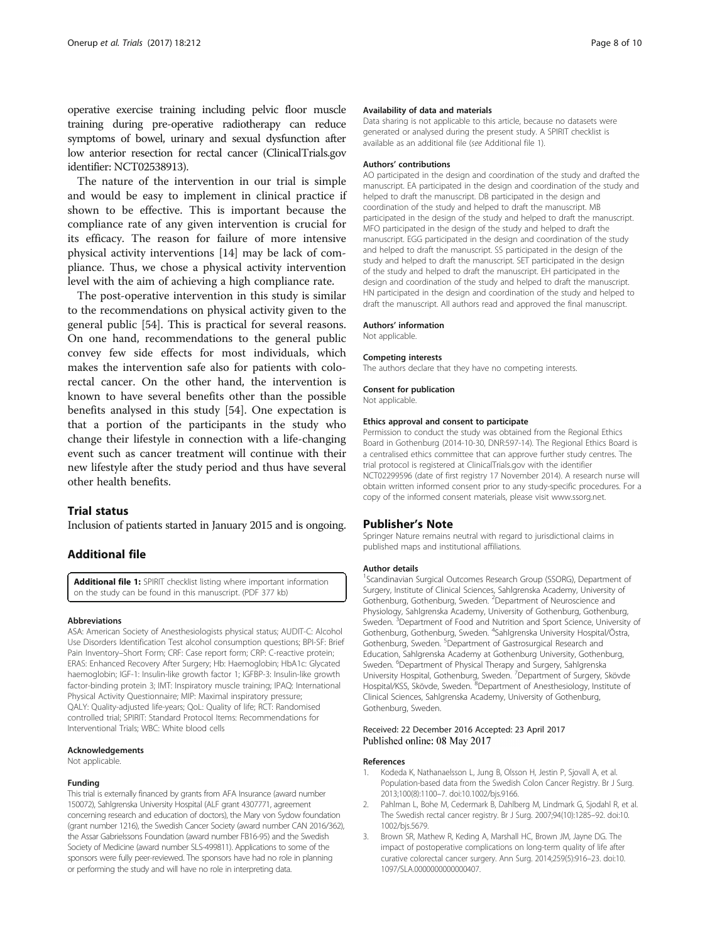<span id="page-7-0"></span>operative exercise training including pelvic floor muscle training during pre-operative radiotherapy can reduce symptoms of bowel, urinary and sexual dysfunction after low anterior resection for rectal cancer (ClinicalTrials.gov identifier: NCT02538913).

The nature of the intervention in our trial is simple and would be easy to implement in clinical practice if shown to be effective. This is important because the compliance rate of any given intervention is crucial for its efficacy. The reason for failure of more intensive physical activity interventions [[14\]](#page-8-0) may be lack of compliance. Thus, we chose a physical activity intervention level with the aim of achieving a high compliance rate.

The post-operative intervention in this study is similar to the recommendations on physical activity given to the general public [[54\]](#page-9-0). This is practical for several reasons. On one hand, recommendations to the general public convey few side effects for most individuals, which makes the intervention safe also for patients with colorectal cancer. On the other hand, the intervention is known to have several benefits other than the possible benefits analysed in this study [[54\]](#page-9-0). One expectation is that a portion of the participants in the study who change their lifestyle in connection with a life-changing event such as cancer treatment will continue with their new lifestyle after the study period and thus have several other health benefits.

## Trial status

Inclusion of patients started in January 2015 and is ongoing.

## Additional file

[Additional file 1:](dx.doi.org/10.1186/s13063-017-1949-9) SPIRIT checklist listing where important information on the study can be found in this manuscript. (PDF 377 kb)

#### Abbreviations

ASA: American Society of Anesthesiologists physical status; AUDIT-C: Alcohol Use Disorders Identification Test alcohol consumption questions; BPI-SF: Brief Pain Inventory–Short Form; CRF: Case report form; CRP: C-reactive protein; ERAS: Enhanced Recovery After Surgery; Hb: Haemoglobin; HbA1c: Glycated haemoglobin; IGF-1: Insulin-like growth factor 1; IGFBP-3: Insulin-like growth factor-binding protein 3; IMT: Inspiratory muscle training; IPAQ: International Physical Activity Questionnaire; MIP: Maximal inspiratory pressure; QALY: Quality-adjusted life-years; QoL: Quality of life; RCT: Randomised controlled trial; SPIRIT: Standard Protocol Items: Recommendations for Interventional Trials; WBC: White blood cells

#### Acknowledgements

Not applicable.

#### Funding

This trial is externally financed by grants from AFA Insurance (award number 150072), Sahlgrenska University Hospital (ALF grant 4307771, agreement concerning research and education of doctors), the Mary von Sydow foundation (grant number 1216), the Swedish Cancer Society (award number CAN 2016/362), the Assar Gabrielssons Foundation (award number FB16-95) and the Swedish Society of Medicine (award number SLS-499811). Applications to some of the sponsors were fully peer-reviewed. The sponsors have had no role in planning or performing the study and will have no role in interpreting data.

#### Availability of data and materials

Data sharing is not applicable to this article, because no datasets were generated or analysed during the present study. A SPIRIT checklist is available as an additional file (see Additional file 1).

#### Authors' contributions

AO participated in the design and coordination of the study and drafted the manuscript. EA participated in the design and coordination of the study and helped to draft the manuscript. DB participated in the design and coordination of the study and helped to draft the manuscript. MB participated in the design of the study and helped to draft the manuscript. MFO participated in the design of the study and helped to draft the manuscript. EGG participated in the design and coordination of the study and helped to draft the manuscript. SS participated in the design of the study and helped to draft the manuscript. SET participated in the design of the study and helped to draft the manuscript. EH participated in the design and coordination of the study and helped to draft the manuscript. HN participated in the design and coordination of the study and helped to draft the manuscript. All authors read and approved the final manuscript.

#### Authors' information

Not applicable.

#### Competing interests

The authors declare that they have no competing interests.

#### Consent for publication

Not applicable.

#### Ethics approval and consent to participate

Permission to conduct the study was obtained from the Regional Ethics Board in Gothenburg (2014-10-30, DNR:597-14). The Regional Ethics Board is a centralised ethics committee that can approve further study centres. The trial protocol is registered at ClinicalTrials.gov with the identifier NCT02299596 (date of first registry 17 November 2014). A research nurse will obtain written informed consent prior to any study-specific procedures. For a copy of the informed consent materials, please visit [www.ssorg.net](http://www.ssorg.net/).

#### Publisher's Note

Springer Nature remains neutral with regard to jurisdictional claims in published maps and institutional affiliations.

#### Author details

<sup>1</sup>Scandinavian Surgical Outcomes Research Group (SSORG), Department of Surgery, Institute of Clinical Sciences, Sahlgrenska Academy, University of Gothenburg, Gothenburg, Sweden. <sup>2</sup>Department of Neuroscience and Physiology, Sahlgrenska Academy, University of Gothenburg, Gothenburg, Sweden.<sup>3</sup> Department of Food and Nutrition and Sport Science, University of Gothenburg, Gothenburg, Sweden. <sup>4</sup> Sahlgrenska University Hospital/Östra, Gothenburg, Sweden. <sup>5</sup>Department of Gastrosurgical Research and Education, Sahlgrenska Academy at Gothenburg University, Gothenburg, Sweden. <sup>6</sup>Department of Physical Therapy and Surgery, Sahlgrenska University Hospital, Gothenburg, Sweden. <sup>7</sup>Department of Surgery, Skövde Hospital/KSS, Skövde, Sweden. <sup>8</sup>Department of Anesthesiology, Institute of Clinical Sciences, Sahlgrenska Academy, University of Gothenburg, Gothenburg, Sweden.

#### Received: 22 December 2016 Accepted: 23 April 2017 Published online: 08 May 2017

#### References

- Kodeda K, Nathanaelsson L, Jung B, Olsson H, Jestin P, Sjovall A, et al. Population-based data from the Swedish Colon Cancer Registry. Br J Surg. 2013;100(8):1100–7. doi[:10.1002/bjs.9166](http://dx.doi.org/10.1002/bjs.9166).
- 2. Pahlman L, Bohe M, Cedermark B, Dahlberg M, Lindmark G, Sjodahl R, et al. The Swedish rectal cancer registry. Br J Surg. 2007;94(10):1285–92. doi[:10.](http://dx.doi.org/10.1002/bjs.5679) [1002/bjs.5679.](http://dx.doi.org/10.1002/bjs.5679)
- 3. Brown SR, Mathew R, Keding A, Marshall HC, Brown JM, Jayne DG. The impact of postoperative complications on long-term quality of life after curative colorectal cancer surgery. Ann Surg. 2014;259(5):916–23. doi:[10.](http://dx.doi.org/10.1097/SLA.0000000000000407) [1097/SLA.0000000000000407](http://dx.doi.org/10.1097/SLA.0000000000000407).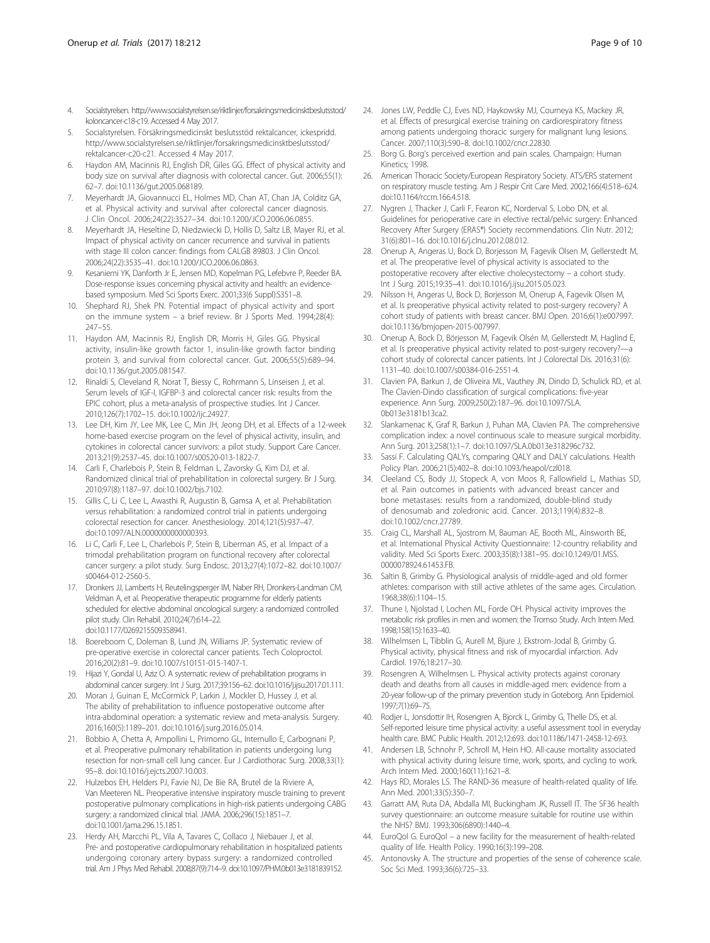- <span id="page-8-0"></span>4. Socialstyrelsen. [http://www.socialstyrelsen.se/riktlinjer/forsakringsmedicinsktbeslutsstod/](http://www.socialstyrelsen.se/riktlinjer/forsakringsmedicinsktbeslutsstod/koloncancer-c18-c19) [koloncancer-c18-c19.](http://www.socialstyrelsen.se/riktlinjer/forsakringsmedicinsktbeslutsstod/koloncancer-c18-c19) Accessed 4 May 2017.
- 5. Socialstyrelsen. Försäkringsmedicinskt beslutsstöd rektalcancer, ickespridd. [http://www.socialstyrelsen.se/riktlinjer/forsakringsmedicinsktbeslutsstod/](http://www.socialstyrelsen.se/riktlinjer/forsakringsmedicinsktbeslutsstod/rektalcancer-c20-c) [rektalcancer-c20-c2](http://www.socialstyrelsen.se/riktlinjer/forsakringsmedicinsktbeslutsstod/rektalcancer-c20-c)1. Accessed 4 May 2017.
- 6. Haydon AM, Macinnis RJ, English DR, Giles GG. Effect of physical activity and body size on survival after diagnosis with colorectal cancer. Gut. 2006;55(1): 62–7. doi[:10.1136/gut.2005.068189](http://dx.doi.org/10.1136/gut.2005.068189).
- 7. Meyerhardt JA, Giovannucci EL, Holmes MD, Chan AT, Chan JA, Colditz GA, et al. Physical activity and survival after colorectal cancer diagnosis. J Clin Oncol. 2006;24(22):3527–34. doi[:10.1200/JCO.2006.06.0855.](http://dx.doi.org/10.1200/JCO.2006.06.0855)
- 8. Meyerhardt JA, Heseltine D, Niedzwiecki D, Hollis D, Saltz LB, Mayer RJ, et al. Impact of physical activity on cancer recurrence and survival in patients with stage III colon cancer: findings from CALGB 89803. J Clin Oncol. 2006;24(22):3535–41. doi:[10.1200/JCO.2006.06.0863.](http://dx.doi.org/10.1200/JCO.2006.06.0863)
- 9. Kesaniemi YK, Danforth Jr E, Jensen MD, Kopelman PG, Lefebvre P, Reeder BA. Dose-response issues concerning physical activity and health: an evidencebased symposium. Med Sci Sports Exerc. 2001;33(6 Suppl):S351–8.
- 10. Shephard RJ, Shek PN. Potential impact of physical activity and sport on the immune system – a brief review. Br J Sports Med. 1994;28(4): 247–55.
- 11. Haydon AM, Macinnis RJ, English DR, Morris H, Giles GG. Physical activity, insulin-like growth factor 1, insulin-like growth factor binding protein 3, and survival from colorectal cancer. Gut. 2006;55(5):689–94. doi[:10.1136/gut.2005.081547.](http://dx.doi.org/10.1136/gut.2005.081547)
- 12. Rinaldi S, Cleveland R, Norat T, Biessy C, Rohrmann S, Linseisen J, et al. Serum levels of IGF-I, IGFBP-3 and colorectal cancer risk: results from the EPIC cohort, plus a meta-analysis of prospective studies. Int J Cancer. 2010;126(7):1702–15. doi:[10.1002/ijc.24927](http://dx.doi.org/10.1002/ijc.24927).
- 13. Lee DH, Kim JY, Lee MK, Lee C, Min JH, Jeong DH, et al. Effects of a 12-week home-based exercise program on the level of physical activity, insulin, and cytokines in colorectal cancer survivors: a pilot study. Support Care Cancer. 2013;21(9):2537–45. doi[:10.1007/s00520-013-1822-7.](http://dx.doi.org/10.1007/s00520-013-1822-7)
- 14. Carli F, Charlebois P, Stein B, Feldman L, Zavorsky G, Kim DJ, et al. Randomized clinical trial of prehabilitation in colorectal surgery. Br J Surg. 2010;97(8):1187–97. doi[:10.1002/bjs.7102](http://dx.doi.org/10.1002/bjs.7102).
- 15. Gillis C, Li C, Lee L, Awasthi R, Augustin B, Gamsa A, et al. Prehabilitation versus rehabilitation: a randomized control trial in patients undergoing colorectal resection for cancer. Anesthesiology. 2014;121(5):937–47. doi[:10.1097/ALN.0000000000000393.](http://dx.doi.org/10.1097/ALN.0000000000000393)
- 16. Li C, Carli F, Lee L, Charlebois P, Stein B, Liberman AS, et al. Impact of a trimodal prehabilitation program on functional recovery after colorectal cancer surgery: a pilot study. Surg Endosc. 2013;27(4):1072–82. doi[:10.1007/](http://dx.doi.org/10.1007/s00464-012-2560-5) [s00464-012-2560-5.](http://dx.doi.org/10.1007/s00464-012-2560-5)
- 17. Dronkers JJ, Lamberts H, Reutelingsperger IM, Naber RH, Dronkers-Landman CM, Veldman A, et al. Preoperative therapeutic programme for elderly patients scheduled for elective abdominal oncological surgery: a randomized controlled pilot study. Clin Rehabil. 2010;24(7):614–22. doi[:10.1177/0269215509358941](http://dx.doi.org/10.1177/0269215509358941).
- 18. Boereboom C, Doleman B, Lund JN, Williams JP. Systematic review of pre-operative exercise in colorectal cancer patients. Tech Coloproctol. 2016;20(2):81–9. doi[:10.1007/s10151-015-1407-1](http://dx.doi.org/10.1007/s10151-015-1407-1).
- 19. Hijazi Y, Gondal U, Aziz O. A systematic review of prehabilitation programs in abdominal cancer surgery. Int J Surg. 2017;39:156–62. doi[:10.1016/j.ijsu.2017.01.111](http://dx.doi.org/10.1016/j.ijsu.2017.01.111).
- 20. Moran J, Guinan E, McCormick P, Larkin J, Mockler D, Hussey J, et al. The ability of prehabilitation to influence postoperative outcome after intra-abdominal operation: a systematic review and meta-analysis. Surgery. 2016;160(5):1189–201. doi[:10.1016/j.surg.2016.05.014](http://dx.doi.org/10.1016/j.surg.2016.05.014).
- 21. Bobbio A, Chetta A, Ampollini L, Primomo GL, Internullo E, Carbognani P, et al. Preoperative pulmonary rehabilitation in patients undergoing lung resection for non-small cell lung cancer. Eur J Cardiothorac Surg. 2008;33(1): 95–8. doi[:10.1016/j.ejcts.2007.10.003.](http://dx.doi.org/10.1016/j.ejcts.2007.10.003)
- 22. Hulzebos EH, Helders PJ, Favie NJ, De Bie RA, Brutel de la Riviere A, Van Meeteren NL. Preoperative intensive inspiratory muscle training to prevent postoperative pulmonary complications in high-risk patients undergoing CABG surgery: a randomized clinical trial. JAMA. 2006;296(15):1851–7. doi:[10.1001/jama.296.15.1851.](http://dx.doi.org/10.1001/jama.296.15.1851)
- 23. Herdy AH, Marcchi PL, Vila A, Tavares C, Collaco J, Niebauer J, et al. Pre- and postoperative cardiopulmonary rehabilitation in hospitalized patients undergoing coronary artery bypass surgery: a randomized controlled trial. Am J Phys Med Rehabil. 2008;87(9):714–9. doi[:10.1097/PHM.0b013e3181839152](http://dx.doi.org/10.1097/PHM.0b013e3181839152).
- 24. Jones LW, Peddle CJ, Eves ND, Haykowsky MJ, Courneya KS, Mackey JR, et al. Effects of presurgical exercise training on cardiorespiratory fitness among patients undergoing thoracic surgery for malignant lung lesions. Cancer. 2007;110(3):590–8. doi:[10.1002/cncr.22830](http://dx.doi.org/10.1002/cncr.22830).
- 25. Borg G. Borg's perceived exertion and pain scales. Champaign: Human Kinetics; 1998.
- 26. American Thoracic Society/European Respiratory Society. ATS/ERS statement on respiratory muscle testing. Am J Respir Crit Care Med. 2002;166(4):518–624. doi:[10.1164/rccm.166.4.518](http://dx.doi.org/10.1164/rccm.166.4.518).
- 27. Nygren J, Thacker J, Carli F, Fearon KC, Norderval S, Lobo DN, et al. Guidelines for perioperative care in elective rectal/pelvic surgery: Enhanced Recovery After Surgery (ERAS®) Society recommendations. Clin Nutr. 2012; 31(6):801–16. doi[:10.1016/j.clnu.2012.08.012](http://dx.doi.org/10.1016/j.clnu.2012.08.012).
- 28. Onerup A, Angeras U, Bock D, Borjesson M, Fagevik Olsen M, Gellerstedt M, et al. The preoperative level of physical activity is associated to the postoperative recovery after elective cholecystectomy – a cohort study. Int J Surg. 2015;19:35–41. doi:[10.1016/j.ijsu.2015.05.023](http://dx.doi.org/10.1016/j.ijsu.2015.05.023).
- 29. Nilsson H, Angeras U, Bock D, Borjesson M, Onerup A, Fagevik Olsen M, et al. Is preoperative physical activity related to post-surgery recovery? A cohort study of patients with breast cancer. BMJ Open. 2016;6(1):e007997. doi[:10.1136/bmjopen-2015-007997](http://dx.doi.org/10.1136/bmjopen-2015-007997).
- 30. Onerup A, Bock D, Börjesson M, Fagevik Olsén M, Gellerstedt M, Haglind E, et al. Is preoperative physical activity related to post-surgery recovery?—a cohort study of colorectal cancer patients. Int J Colorectal Dis. 2016;31(6): 1131–40. doi[:10.1007/s00384-016-2551-4.](http://dx.doi.org/10.1007/s00384-016-2551-4)
- 31. Clavien PA, Barkun J, de Oliveira ML, Vauthey JN, Dindo D, Schulick RD, et al. The Clavien-Dindo classification of surgical complications: five-year experience. Ann Surg. 2009;250(2):187–96. doi:[10.1097/SLA.](http://dx.doi.org/10.1097/SLA.0b013e3181b13ca2) [0b013e3181b13ca2.](http://dx.doi.org/10.1097/SLA.0b013e3181b13ca2)
- 32. Slankamenac K, Graf R, Barkun J, Puhan MA, Clavien PA. The comprehensive complication index: a novel continuous scale to measure surgical morbidity. Ann Surg. 2013;258(1):1–7. doi[:10.1097/SLA.0b013e318296c732.](http://dx.doi.org/10.1097/SLA.0b013e318296c732)
- 33. Sassi F. Calculating QALYs, comparing QALY and DALY calculations. Health Policy Plan. 2006;21(5):402–8. doi:[10.1093/heapol/czl018](http://dx.doi.org/10.1093/heapol/czl018).
- 34. Cleeland CS, Body JJ, Stopeck A, von Moos R, Fallowfield L, Mathias SD, et al. Pain outcomes in patients with advanced breast cancer and bone metastases: results from a randomized, double-blind study of denosumab and zoledronic acid. Cancer. 2013;119(4):832–8. doi[:10.1002/cncr.27789](http://dx.doi.org/10.1002/cncr.27789).
- 35. Craig CL, Marshall AL, Sjostrom M, Bauman AE, Booth ML, Ainsworth BE, et al. International Physical Activity Questionnaire: 12-country reliability and validity. Med Sci Sports Exerc. 2003;35(8):1381–95. doi:[10.1249/01.MSS.](http://dx.doi.org/10.1249/01.MSS.0000078924.61453.FB) [0000078924.61453.FB](http://dx.doi.org/10.1249/01.MSS.0000078924.61453.FB).
- 36. Saltin B, Grimby G. Physiological analysis of middle-aged and old former athletes: comparison with still active athletes of the same ages. Circulation. 1968;38(6):1104–15.
- 37. Thune I, Njolstad I, Lochen ML, Forde OH. Physical activity improves the metabolic risk profiles in men and women: the Tromso Study. Arch Intern Med. 1998;158(15):1633–40.
- 38. Wilhelmsen L, Tibblin G, Aurell M, Bjure J, Ekstrom-Jodal B, Grimby G. Physical activity, physical fitness and risk of myocardial infarction. Adv Cardiol. 1976;18:217–30.
- 39. Rosengren A, Wilhelmsen L. Physical activity protects against coronary death and deaths from all causes in middle-aged men: evidence from a 20-year follow-up of the primary prevention study in Goteborg. Ann Epidemiol. 1997;7(1):69–75.
- 40. Rodjer L, Jonsdottir IH, Rosengren A, Bjorck L, Grimby G, Thelle DS, et al. Self-reported leisure time physical activity: a useful assessment tool in everyday health care. BMC Public Health. 2012;12:693. doi:[10.1186/1471-2458-12-693](http://dx.doi.org/10.1186/1471-2458-12-693).
- 41. Andersen LB, Schnohr P, Schroll M, Hein HO. All-cause mortality associated with physical activity during leisure time, work, sports, and cycling to work. Arch Intern Med. 2000;160(11):1621–8.
- 42. Hays RD, Morales LS. The RAND-36 measure of health-related quality of life. Ann Med. 2001;33(5):350–7.
- 43. Garratt AM, Ruta DA, Abdalla MI, Buckingham JK, Russell IT. The SF36 health survey questionnaire: an outcome measure suitable for routine use within the NHS? BMJ. 1993;306(6890):1440–4.
- 44. EuroQol G. EuroQol a new facility for the measurement of health-related quality of life. Health Policy. 1990;16(3):199–208.
- 45. Antonovsky A. The structure and properties of the sense of coherence scale. Soc Sci Med. 1993;36(6):725–33.